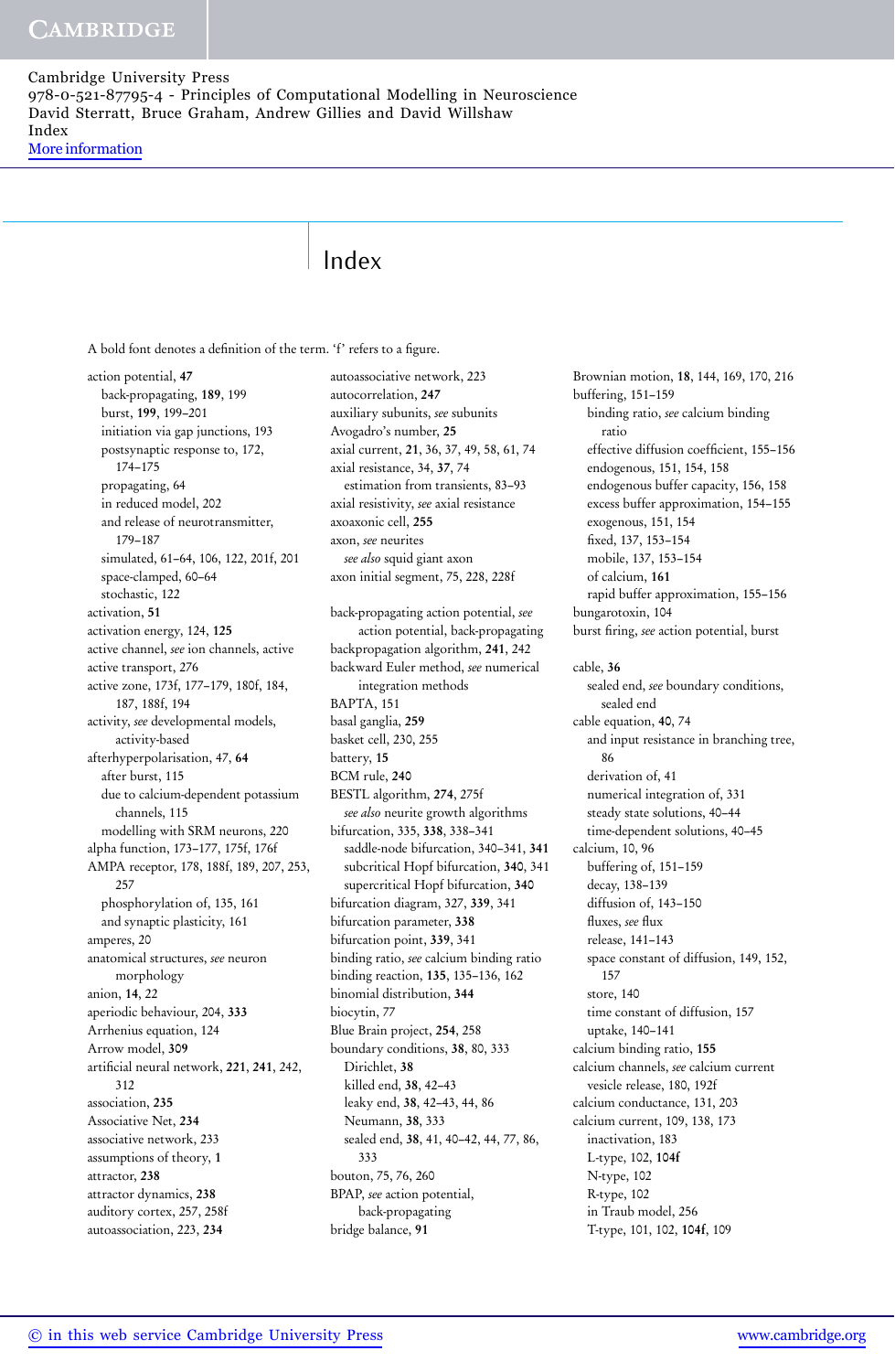# Index

A bold font denotes a definition of the term. 'f' refers to a figure.

action potential, 47 back-propagating, 189, 199 burst, 199, 199–201 initiation via gap junctions, 193 postsynaptic response to, 172, 174–175 propagating, 64 in reduced model, 202 and release of neurotransmitter, 179–187 simulated, 61–64, 106, 122, 201f, 201 space-clamped, 60–64 stochastic, 122 activation, 51 activation energy, 124, 125 active channel, *see* ion channels, active active transport, 276 active zone, 173f, 177–179, 180f, 184, 187, 188f, 194 activity, *see* developmental models, activity-based afterhyperpolarisation, 47, 64 after burst, 115 due to calcium-dependent potassium channels, 115 modelling with SRM neurons, 220 alpha function, 173–177, 175f, 176f AMPA receptor, 178, 188f, 189, 207, 253, 257 phosphorylation of, 135, 161 and synaptic plasticity, 161 amperes, 20 anatomical structures, *see* neuron morphology anion, 14, 22 aperiodic behaviour, 204, 333 Arrhenius equation, 124 Arrow model, 309 artificial neural network, 221, 241, 242, 312 association, 235 Associative Net, 234 associative network, 233 assumptions of theory, 1 attractor, 238 attractor dynamics, 238 auditory cortex, 257, 258f autoassociation, 223, 234

autoassociative network, 223 autocorrelation, 247 auxiliary subunits, *see* subunits Avogadro's number, 25 axial current, 21, 36, 37, 49, 58, 61, 74 axial resistance, 34, 37, 74 estimation from transients, 83–93 axial resistivity, *see* axial resistance axoaxonic cell, 255 axon, *see* neurites *see also* squid giant axon axon initial segment, 75, 228, 228f back-propagating action potential, *see* action potential, back-propagating backpropagation algorithm, 241, 242 backward Euler method, *see* numerical integration methods BAPTA, 151 basal ganglia, 259 basket cell, 230, 255 battery, 15 BCM rule, 240 BESTL algorithm, 274, 275f *see also* neurite growth algorithms bifurcation, 335, 338, 338–341 saddle-node bifurcation, 340–341, 341 subcritical Hopf bifurcation, 340, 341 supercritical Hopf bifurcation, 340 bifurcation diagram, 327, 339, 341 bifurcation parameter, 338 bifurcation point, 339, 341 binding ratio, *see* calcium binding ratio binding reaction, 135, 135–136, 162 binomial distribution, 344 biocytin, 77 Blue Brain project, 254, 258 boundary conditions, 38, 80, 333 Dirichlet, 38 killed end, 38, 42–43 leaky end, 38, 42–43, 44, 86 Neumann, 38, 333 sealed end, 38, 41, 40–42, 44, 77, 86, 333 bouton, 75, 76, 260 BPAP, *see* action potential, back-propagating bridge balance, 91

Brownian motion, 18, 144, 169, 170, 216 buffering, 151–159 binding ratio, *see* calcium binding ratio effective diffusion coefficient, 155–156 endogenous, 151, 154, 158 endogenous buffer capacity, 156, 158 excess buffer approximation, 154–155 exogenous, 151, 154 fixed, 137, 153–154 mobile, 137, 153–154 of calcium, 161 rapid buffer approximation, 155–156 bungarotoxin, 104 burst firing, *see* action potential, burst cable, 36 sealed end, *see* boundary conditions, sealed end cable equation, 40, 74 and input resistance in branching tree, 86 derivation of, 41 numerical integration of, 331 steady state solutions, 40–44 time-dependent solutions, 40–45 calcium, 10, 96 buffering of, 151–159 decay, 138–139 diffusion of, 143–150 fluxes, *see* flux release, 141–143 space constant of diffusion, 149, 152, 157 store, 140 time constant of diffusion, 157 uptake, 140–141 calcium binding ratio, 155 calcium channels, *see* calcium current vesicle release, 180, 192f calcium conductance, 131, 203 calcium current, 109, 138, 173 inactivation, 183 L-type, 102, 104f N-type, 102 R-type, 102 in Traub model, 256 T-type, 101, 102, 104f, 109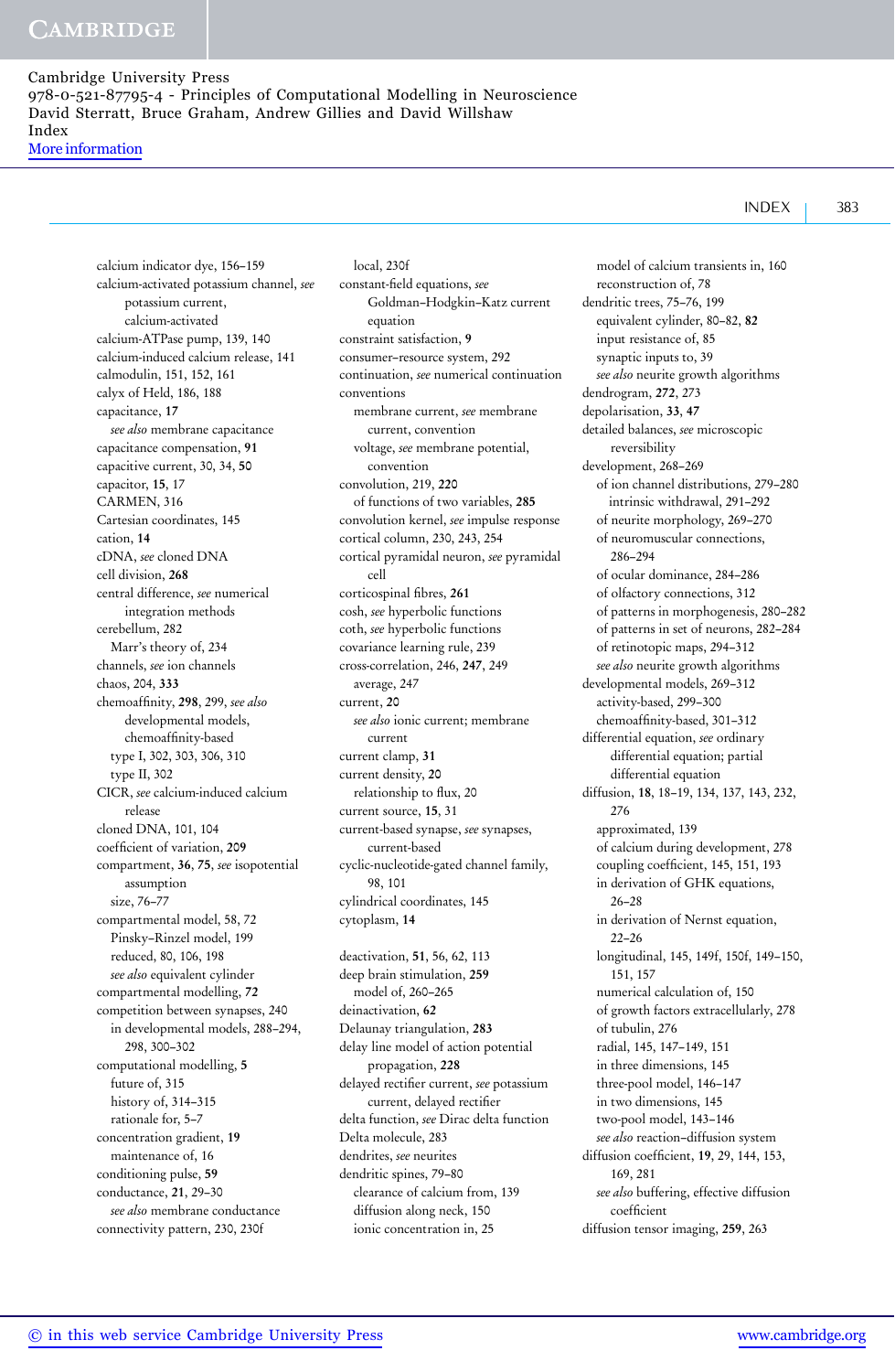calcium indicator dye, 156–159 calcium-activated potassium channel, *see* potassium current, calcium-activated calcium-ATPase pump, 139, 140 calcium-induced calcium release, 141 calmodulin, 151, 152, 161 calyx of Held, 186, 188 capacitance, 17 *see also* membrane capacitance capacitance compensation, 91 capacitive current, 30, 34, 50 capacitor, 15, 17 CARMEN, 316 Cartesian coordinates, 145 cation, 14 cDNA, *see* cloned DNA cell division, 268 central difference, *see* numerical integration methods cerebellum, 282 Marr's theory of, 234 channels, *see* ion channels chaos, 204, 333 chemoaffinity, 298, 299, *see also* developmental models, chemoaffinity-based type I, 302, 303, 306, 310 type II, 302 CICR, *see* calcium-induced calcium release cloned DNA, 101, 104 coefficient of variation, 209 compartment, 36, 75, *see* isopotential assumption size, 76–77 compartmental model, 58, 72 Pinsky–Rinzel model, 199 reduced, 80, 106, 198 *see also* equivalent cylinder compartmental modelling, 72 competition between synapses, 240 in developmental models, 288–294, 298, 300–302 computational modelling, 5 future of, 315 history of, 314–315 rationale for, 5–7 concentration gradient, 19 maintenance of, 16 conditioning pulse, 59 conductance, 21, 29–30 *see also* membrane conductance connectivity pattern, 230, 230f

local, 230f constant-field equations, *see* Goldman–Hodgkin–Katz current equation constraint satisfaction, 9 consumer–resource system, 292 continuation, *see* numerical continuation conventions membrane current, *see* membrane current, convention voltage, *see* membrane potential, convention convolution, 219, 220 of functions of two variables, 285 convolution kernel, *see* impulse response cortical column, 230, 243, 254 cortical pyramidal neuron, *see* pyramidal cell corticospinal fibres, 261 cosh, *see* hyperbolic functions coth, *see* hyperbolic functions covariance learning rule, 239 cross-correlation, 246, 247, 249 average, 247 current, 20 *see also* ionic current; membrane current current clamp, 31 current density, 20 relationship to flux, 20 current source, 15, 31 current-based synapse, *see* synapses, current-based cyclic-nucleotide-gated channel family, 98, 101 cylindrical coordinates, 145 cytoplasm, 14 deactivation, 51, 56, 62, 113 deep brain stimulation, 259 model of, 260–265

deinactivation, 62 Delaunay triangulation, 283 delay line model of action potential propagation, 228 delayed rectifier current, *see* potassium current, delayed rectifier delta function, *see* Dirac delta function Delta molecule, 283 dendrites, *see* neurites dendritic spines, 79–80 clearance of calcium from, 139 diffusion along neck, 150 ionic concentration in, 25

model of calcium transients in, 160 reconstruction of, 78 dendritic trees, 75–76, 199 equivalent cylinder, 80–82, 82 input resistance of, 85 synaptic inputs to, 39 *see also* neurite growth algorithms dendrogram, 272, 273 depolarisation, 33, 47 detailed balances, *see* microscopic reversibility development, 268–269 of ion channel distributions, 279–280 intrinsic withdrawal, 291–292 of neurite morphology, 269–270 of neuromuscular connections, 286–294 of ocular dominance, 284–286 of olfactory connections, 312 of patterns in morphogenesis, 280–282 of patterns in set of neurons, 282–284 of retinotopic maps, 294–312 *see also* neurite growth algorithms developmental models, 269–312 activity-based, 299–300 chemoaffinity-based, 301–312 differential equation, *see* ordinary differential equation; partial differential equation diffusion, 18, 18–19, 134, 137, 143, 232, 276 approximated, 139 of calcium during development, 278 coupling coefficient, 145, 151, 193 in derivation of GHK equations, 26–28 in derivation of Nernst equation, 22–26 longitudinal, 145, 149f, 150f, 149–150, 151, 157 numerical calculation of, 150 of growth factors extracellularly, 278 of tubulin, 276 radial, 145, 147–149, 151 in three dimensions, 145 three-pool model, 146–147 in two dimensions, 145 two-pool model, 143–146 *see also* reaction–diffusion system diffusion coefficient, 19, 29, 144, 153, 169, 281 *see also* buffering, effective diffusion coefficient

diffusion tensor imaging, 259, 263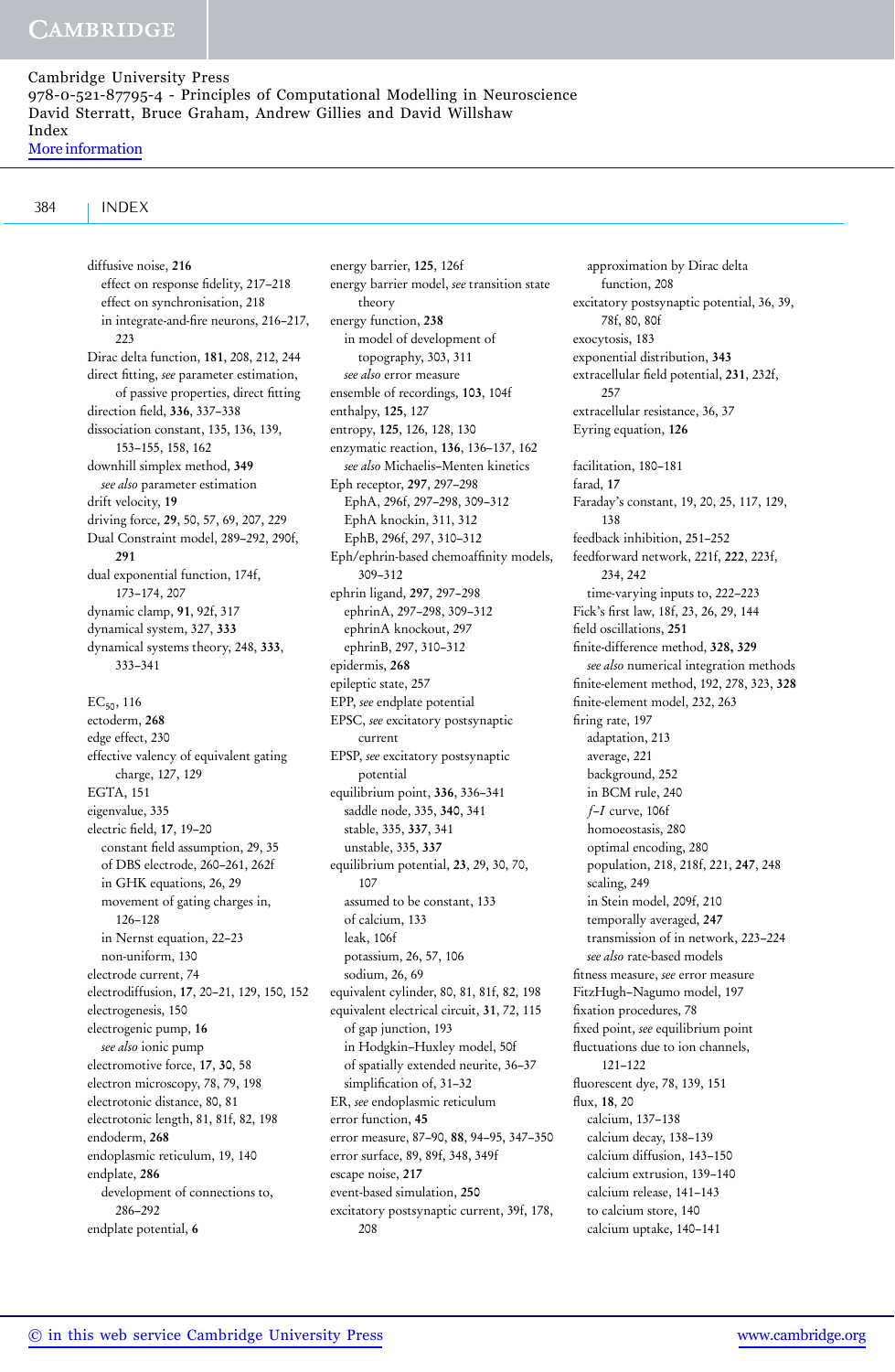### 384 INDEX

diffusive noise, 216 effect on response fidelity, 217–218 effect on synchronisation, 218 in integrate-and-fire neurons, 216–217, 223 Dirac delta function, 181, 208, 212, 244 direct fitting, *see* parameter estimation, of passive properties, direct fitting direction field, 336, 337–338 dissociation constant, 135, 136, 139, 153–155, 158, 162 downhill simplex method, 349 *see also* parameter estimation drift velocity, 19 driving force, 29, 50, 57, 69, 207, 229 Dual Constraint model, 289–292, 290f, 291 dual exponential function, 174f, 173–174, 207 dynamic clamp, 91, 92f, 317 dynamical system, 327, 333 dynamical systems theory, 248, 333, 333–341  $EC_{50}$ , 116 ectoderm, 268 edge effect, 230 effective valency of equivalent gating charge, 127, 129 EGTA, 151 eigenvalue, 335 electric field, 17, 19–20 constant field assumption, 29, 35 of DBS electrode, 260–261, 262f in GHK equations, 26, 29 movement of gating charges in, 126–128 in Nernst equation, 22–23 non-uniform, 130 electrode current, 74 electrodiffusion, 17, 20–21, 129, 150, 152 electrogenesis, 150 electrogenic pump, 16 *see also* ionic pump electromotive force, 17, 30, 58 electron microscopy, 78, 79, 198 electrotonic distance, 80, 81 electrotonic length, 81, 81f, 82, 198 endoderm, 268 endoplasmic reticulum, 19, 140 endplate, 286 development of connections to, 286–292 endplate potential, 6

energy barrier, 125, 126f energy barrier model, *see* transition state theory energy function, 238 in model of development of topography, 303, 311 *see also* error measure ensemble of recordings, 103, 104f enthalpy, 125, 127 entropy, 125, 126, 128, 130 enzymatic reaction, 136, 136–137, 162 *see also* Michaelis–Menten kinetics Eph receptor, 297, 297–298 EphA, 296f, 297–298, 309–312 EphA knockin, 311, 312 EphB, 296f, 297, 310–312 Eph/ephrin-based chemoaffinity models, 309–312 ephrin ligand, 297, 297–298 ephrinA, 297–298, 309–312 ephrinA knockout, 297 ephrinB, 297, 310–312 epidermis, 268 epileptic state, 257 EPP, *see* endplate potential EPSC, *see* excitatory postsynaptic current EPSP, *see* excitatory postsynaptic potential equilibrium point, 336, 336–341 saddle node, 335, 340, 341 stable, 335, 337, 341 unstable, 335, 337 equilibrium potential, 23, 29, 30, 70, 107 assumed to be constant, 133 of calcium, 133 leak, 106f potassium, 26, 57, 106 sodium, 26, 69 equivalent cylinder, 80, 81, 81f, 82, 198 equivalent electrical circuit, 31, 72, 115 of gap junction, 193 in Hodgkin–Huxley model, 50f of spatially extended neurite, 36–37 simplification of, 31–32 ER, *see* endoplasmic reticulum error function, 45 error measure, 87–90, 88, 94–95, 347–350 error surface, 89, 89f, 348, 349f escape noise, 217 event-based simulation, 250 excitatory postsynaptic current, 39f, 178, 208

approximation by Dirac delta function, 208 excitatory postsynaptic potential, 36, 39, 78f, 80, 80f exocytosis, 183 exponential distribution, 343 extracellular field potential, 231, 232f, 257 extracellular resistance, 36, 37 Eyring equation, 126 facilitation, 180–181 farad, 17 Faraday's constant, 19, 20, 25, 117, 129, 138 feedback inhibition, 251–252 feedforward network, 221f, 222, 223f, 234, 242 time-varying inputs to, 222–223 Fick's first law, 18f, 23, 26, 29, 144 field oscillations, 251 finite-difference method, 328, 329 *see also* numerical integration methods finite-element method, 192, 278, 323, 328 finite-element model, 232, 263 firing rate, 197 adaptation, 213 average, 221 background, 252 in BCM rule, 240 *f*–*I* curve, 106f homoeostasis, 280 optimal encoding, 280 population, 218, 218f, 221, 247, 248 scaling, 249 in Stein model, 209f, 210 temporally averaged, 247 transmission of in network, 223–224 *see also* rate-based models fitness measure, *see* error measure FitzHugh–Nagumo model, 197 fixation procedures, 78 fixed point, *see* equilibrium point fluctuations due to ion channels, 121–122 fluorescent dye, 78, 139, 151 flux, 18, 20 calcium, 137–138 calcium decay, 138–139 calcium diffusion, 143–150 calcium extrusion, 139–140 calcium release, 141–143 to calcium store, 140 calcium uptake, 140–141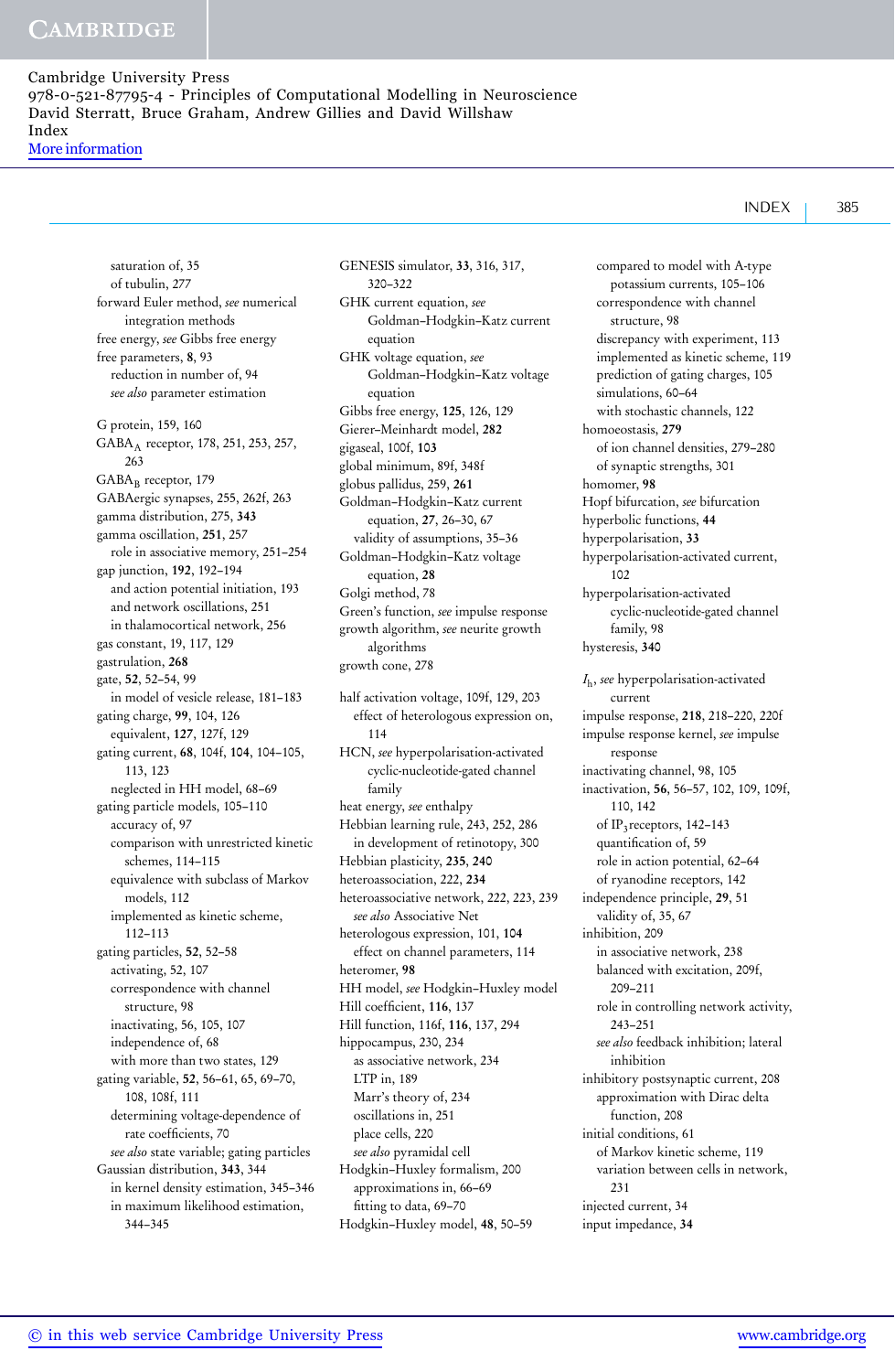$INDEX$  385

saturation of, 35 of tubulin, 277 forward Euler method, *see* numerical integration methods free energy, *see* Gibbs free energy free parameters, 8, 93 reduction in number of, 94 *see also* parameter estimation G protein, 159, 160 GABA<sub>A</sub> receptor, 178, 251, 253, 257, 263 GABA<sub>B</sub> receptor, 179 GABAergic synapses, 255, 262f, 263 gamma distribution, 275, 343 gamma oscillation, 251, 257 role in associative memory, 251–254 gap junction, 192, 192–194 and action potential initiation, 193 and network oscillations, 251 in thalamocortical network, 256 gas constant, 19, 117, 129 gastrulation, 268 gate, 52, 52–54, 99 in model of vesicle release, 181–183 gating charge, 99, 104, 126 equivalent, 127, 127f, 129 gating current, 68, 104f, 104, 104–105, 113, 123 neglected in HH model, 68–69 gating particle models, 105–110 accuracy of, 97 comparison with unrestricted kinetic schemes, 114–115 equivalence with subclass of Markov models, 112 implemented as kinetic scheme, 112–113 gating particles, 52, 52–58 activating, 52, 107 correspondence with channel structure, 98 inactivating, 56, 105, 107 independence of, 68 with more than two states, 129 gating variable, 52, 56–61, 65, 69–70, 108, 108f, 111 determining voltage-dependence of rate coefficients, 70 *see also* state variable; gating particles Gaussian distribution, 343, 344 in kernel density estimation, 345–346 in maximum likelihood estimation, 344–345

GENESIS simulator, 33, 316, 317, 320–322 GHK current equation, *see* Goldman–Hodgkin–Katz current equation GHK voltage equation, *see* Goldman–Hodgkin–Katz voltage equation Gibbs free energy, 125, 126, 129 Gierer–Meinhardt model, 282 gigaseal, 100f, 103 global minimum, 89f, 348f globus pallidus, 259, 261 Goldman–Hodgkin–Katz current equation, 27, 26–30, 67 validity of assumptions, 35–36 Goldman–Hodgkin–Katz voltage equation, 28 Golgi method, 78 Green's function, *see* impulse response growth algorithm, *see* neurite growth algorithms growth cone, 278 half activation voltage, 109f, 129, 203 effect of heterologous expression on, 114 HCN, *see* hyperpolarisation-activated cyclic-nucleotide-gated channel family heat energy, *see* enthalpy Hebbian learning rule, 243, 252, 286 in development of retinotopy, 300 Hebbian plasticity, 235, 240 heteroassociation, 222, 234 heteroassociative network, 222, 223, 239 *see also* Associative Net heterologous expression, 101, 104 effect on channel parameters, 114 heteromer, 98 HH model, *see* Hodgkin–Huxley model Hill coefficient, 116, 137 Hill function, 116f, 116, 137, 294

hippocampus, 230, 234 as associative network, 234

LTP in, 189 Marr's theory of, 234 oscillations in, 251 place cells, 220 *see also* pyramidal cell Hodgkin–Huxley formalism, 200 approximations in, 66–69 fitting to data, 69–70 Hodgkin–Huxley model, 48, 50–59

compared to model with A-type potassium currents, 105–106 correspondence with channel structure, 98 discrepancy with experiment, 113 implemented as kinetic scheme, 119 prediction of gating charges, 105 simulations, 60–64 with stochastic channels, 122 homoeostasis, 279 of ion channel densities, 279–280 of synaptic strengths, 301 homomer, 98 Hopf bifurcation, *see* bifurcation hyperbolic functions, 44 hyperpolarisation, 33 hyperpolarisation-activated current, 102 hyperpolarisation-activated cyclic-nucleotide-gated channel family, 98 hysteresis, 340 *I*h, *see* hyperpolarisation-activated current impulse response, 218, 218–220, 220f impulse response kernel, *see* impulse response inactivating channel, 98, 105 inactivation, 56, 56–57, 102, 109, 109f, 110, 142 of IP<sub>3</sub> receptors, 142-143 quantification of, 59 role in action potential, 62–64 of ryanodine receptors, 142 independence principle, 29, 51 validity of, 35, 67 inhibition, 209 in associative network, 238 balanced with excitation, 209f, 209–211 role in controlling network activity, 243–251 *see also* feedback inhibition; lateral inhibition inhibitory postsynaptic current, 208 approximation with Dirac delta function, 208 initial conditions, 61 of Markov kinetic scheme, 119 variation between cells in network, 231 injected current, 34 input impedance, 34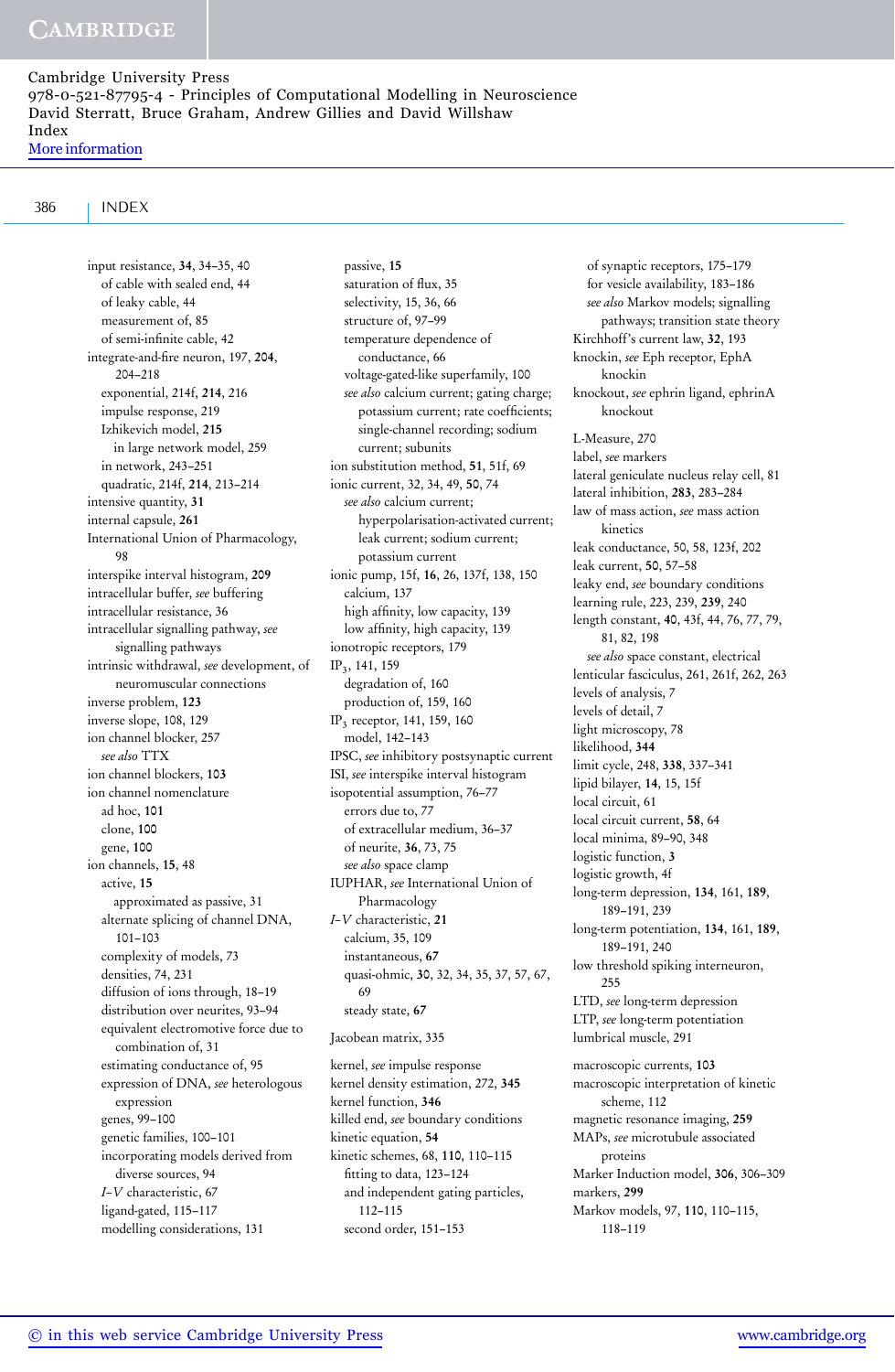# 386 INDEX

input resistance, 34, 34–35, 40 of cable with sealed end, 44 of leaky cable, 44 measurement of, 85 of semi-infinite cable, 42 integrate-and-fire neuron, 197, 204, 204–218 exponential, 214f, 214, 216 impulse response, 219 Izhikevich model, 215 in large network model, 259 in network, 243–251 quadratic, 214f, 214, 213–214 intensive quantity, 31 internal capsule, 261 International Union of Pharmacology, 98 interspike interval histogram, 209 intracellular buffer, *see* buffering intracellular resistance, 36 intracellular signalling pathway, *see* signalling pathways intrinsic withdrawal, *see* development, of neuromuscular connections inverse problem, 123 inverse slope, 108, 129 ion channel blocker, 257 *see also* TTX ion channel blockers, 103 ion channel nomenclature ad hoc, 101 clone, 100 gene, 100 ion channels, 15, 48 active, 15 approximated as passive, 31 alternate splicing of channel DNA, 101–103 complexity of models, 73 densities, 74, 231 diffusion of ions through, 18–19 distribution over neurites, 93–94 equivalent electromotive force due to combination of, 31 estimating conductance of, 95 expression of DNA, *see* heterologous expression genes, 99–100 genetic families, 100–101 incorporating models derived from diverse sources, 94 *I–V* characteristic, 67 ligand-gated, 115–117 modelling considerations, 131

passive, 15 saturation of flux, 35 selectivity, 15, 36, 66 structure of, 97–99 temperature dependence of conductance, 66 voltage-gated-like superfamily, 100 *see also* calcium current; gating charge; potassium current; rate coefficients; single-channel recording; sodium current; subunits ion substitution method, 51, 51f, 69 ionic current, 32, 34, 49, 50, 74 *see also* calcium current; hyperpolarisation-activated current; leak current; sodium current; potassium current ionic pump, 15f, 16, 26, 137f, 138, 150 calcium, 137 high affinity, low capacity, 139 low affinity, high capacity, 139 ionotropic receptors, 179 IP3, 141, 159 degradation of, 160 production of, 159, 160 IP3 receptor, 141, 159, 160 model, 142–143 IPSC, *see* inhibitory postsynaptic current ISI, *see* interspike interval histogram isopotential assumption, 76–77 errors due to, 77 of extracellular medium, 36–37 of neurite, 36, 73, 75 *see also* space clamp IUPHAR, *see* International Union of Pharmacology *I–V* characteristic, 21 calcium, 35, 109 instantaneous, 67 quasi-ohmic, 30, 32, 34, 35, 37, 57, 67, 69 steady state, 67 Jacobean matrix, 335

kernel, *see* impulse response kernel density estimation, 272, 345 kernel function, 346 killed end, *see* boundary conditions kinetic equation, 54 kinetic schemes, 68, 110, 110–115 fitting to data, 123–124 and independent gating particles, 112–115 second order, 151–153

of synaptic receptors, 175–179 for vesicle availability, 183–186 *see also* Markov models; signalling pathways; transition state theory Kirchhoff's current law, 32, 193 knockin, *see* Eph receptor, EphA knockin knockout, *see* ephrin ligand, ephrinA knockout L-Measure, 270 label, *see* markers lateral geniculate nucleus relay cell, 81 lateral inhibition, 283, 283–284 law of mass action, *see* mass action kinetics leak conductance, 50, 58, 123f, 202 leak current, 50, 57–58 leaky end, *see* boundary conditions learning rule, 223, 239, 239, 240 length constant, 40, 43f, 44, 76, 77, 79, 81, 82, 198 *see also* space constant, electrical lenticular fasciculus, 261, 261f, 262, 263 levels of analysis, 7 levels of detail, 7 light microscopy, 78 likelihood, 344 limit cycle, 248, 338, 337–341 lipid bilayer, 14, 15, 15f local circuit, 61 local circuit current, 58, 64 local minima, 89–90, 348 logistic function, 3 logistic growth, 4f long-term depression, 134, 161, 189, 189–191, 239 long-term potentiation, 134, 161, 189, 189–191, 240 low threshold spiking interneuron, 255 LTD, *see* long-term depression LTP, *see* long-term potentiation lumbrical muscle, 291 macroscopic currents, 103 macroscopic interpretation of kinetic scheme, 112 magnetic resonance imaging, 259 MAPs, *see* microtubule associated proteins Marker Induction model, 306, 306–309 markers, 299

Markov models, 97, 110, 110–115, 118–119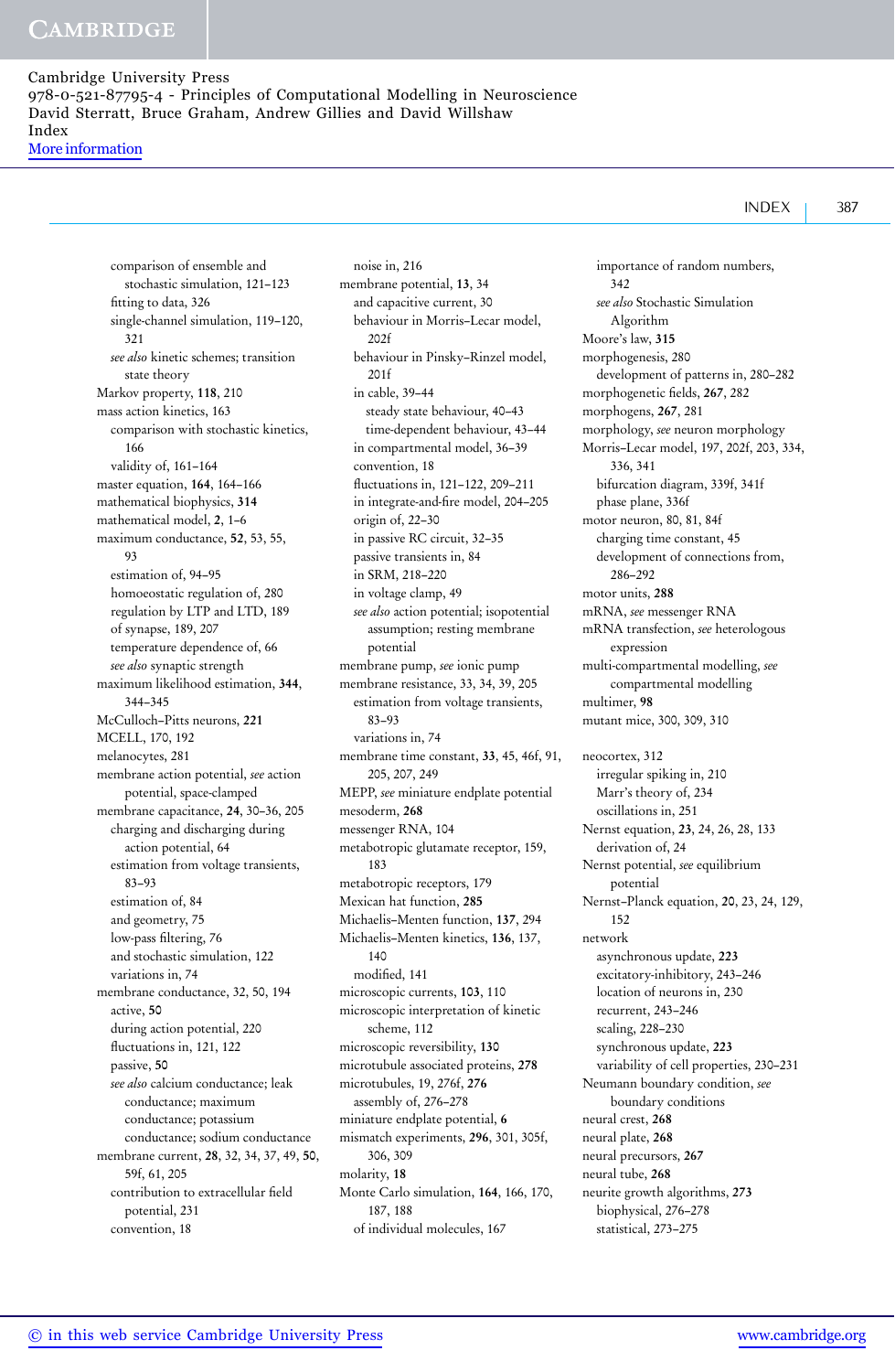comparison of ensemble and stochastic simulation, 121–123 fitting to data, 326 single-channel simulation, 119–120, 321 *see also* kinetic schemes; transition state theory Markov property, 118, 210 mass action kinetics, 163 comparison with stochastic kinetics, 166 validity of, 161–164 master equation, 164, 164–166 mathematical biophysics, 314 mathematical model, 2, 1–6 maximum conductance, 52, 53, 55, 93 estimation of, 94–95 homoeostatic regulation of, 280 regulation by LTP and LTD, 189 of synapse, 189, 207 temperature dependence of, 66 *see also* synaptic strength maximum likelihood estimation, 344, 344–345 McCulloch–Pitts neurons, 221 MCELL, 170, 192 melanocytes, 281 membrane action potential, *see* action potential, space-clamped membrane capacitance, 24, 30–36, 205 charging and discharging during action potential, 64 estimation from voltage transients, 83–93 estimation of, 84 and geometry, 75 low-pass filtering, 76 and stochastic simulation, 122 variations in, 74 membrane conductance, 32, 50, 194 active, 50 during action potential, 220 fluctuations in, 121, 122 passive, 50 *see also* calcium conductance; leak conductance; maximum conductance; potassium conductance; sodium conductance membrane current, 28, 32, 34, 37, 49, 50, 59f, 61, 205 contribution to extracellular field potential, 231 convention, 18

noise in, 216 membrane potential, 13, 34 and capacitive current, 30 behaviour in Morris–Lecar model, 202f behaviour in Pinsky–Rinzel model, 201f in cable, 39–44 steady state behaviour, 40–43 time-dependent behaviour, 43–44 in compartmental model, 36–39 convention, 18 fluctuations in, 121–122, 209–211 in integrate-and-fire model, 204–205 origin of, 22–30 in passive RC circuit, 32–35 passive transients in, 84 in SRM, 218–220 in voltage clamp, 49 *see also* action potential; isopotential assumption; resting membrane potential membrane pump, *see* ionic pump membrane resistance, 33, 34, 39, 205 estimation from voltage transients, 83–93 variations in, 74 membrane time constant, 33, 45, 46f, 91, 205, 207, 249 MEPP, *see* miniature endplate potential mesoderm, 268 messenger RNA, 104 metabotropic glutamate receptor, 159, 183 metabotropic receptors, 179 Mexican hat function, 285 Michaelis–Menten function, 137, 294 Michaelis–Menten kinetics, 136, 137, 140 modified, 141 microscopic currents, 103, 110 microscopic interpretation of kinetic scheme, 112 microscopic reversibility, 130 microtubule associated proteins, 278 microtubules, 19, 276f, 276 assembly of, 276–278 miniature endplate potential, 6 mismatch experiments, 296, 301, 305f, 306, 309 molarity, 18 Monte Carlo simulation, 164, 166, 170, 187, 188 of individual molecules, 167

importance of random numbers, 342 *see also* Stochastic Simulation Algorithm Moore's law, 315 morphogenesis, 280 development of patterns in, 280–282 morphogenetic fields, 267, 282 morphogens, 267, 281 morphology, *see* neuron morphology Morris–Lecar model, 197, 202f, 203, 334, 336, 341 bifurcation diagram, 339f, 341f phase plane, 336f motor neuron, 80, 81, 84f charging time constant, 45 development of connections from, 286–292 motor units, 288 mRNA, *see* messenger RNA mRNA transfection, *see* heterologous expression multi-compartmental modelling, *see* compartmental modelling multimer, 98 mutant mice, 300, 309, 310 neocortex, 312 irregular spiking in, 210 Marr's theory of, 234 oscillations in, 251 Nernst equation, 23, 24, 26, 28, 133 derivation of, 24 Nernst potential, *see* equilibrium potential Nernst–Planck equation, 20, 23, 24, 129, 152 network asynchronous update, 223 excitatory-inhibitory, 243–246 location of neurons in, 230 recurrent, 243–246 scaling, 228–230 synchronous update, 223 variability of cell properties, 230–231 Neumann boundary condition, *see* boundary conditions neural crest, 268 neural plate, 268 neural precursors, 267 neural tube, 268 neurite growth algorithms, 273 biophysical, 276–278 statistical, 273–275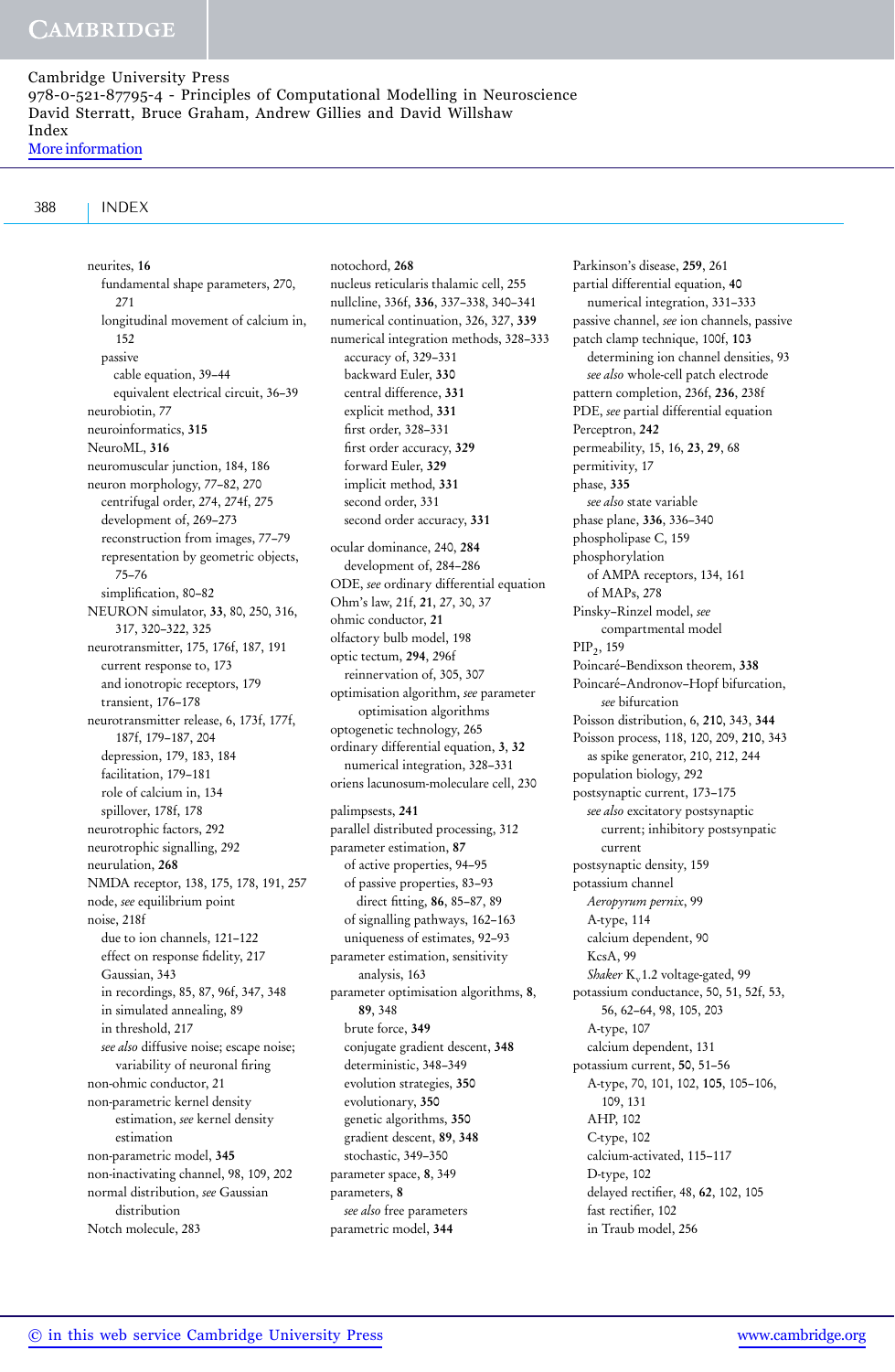388 INDEX

neurites, 16 fundamental shape parameters, 270, 271 longitudinal movement of calcium in, 152 passive cable equation, 39–44 equivalent electrical circuit, 36–39 neurobiotin, 77 neuroinformatics, 315 NeuroML, 316 neuromuscular junction, 184, 186 neuron morphology, 77–82, 270 centrifugal order, 274, 274f, 275 development of, 269–273 reconstruction from images, 77–79 representation by geometric objects, 75–76 simplification, 80–82 NEURON simulator, 33, 80, 250, 316, 317, 320–322, 325 neurotransmitter, 175, 176f, 187, 191 current response to, 173 and ionotropic receptors, 179 transient, 176–178 neurotransmitter release, 6, 173f, 177f, 187f, 179–187, 204 depression, 179, 183, 184 facilitation, 179–181 role of calcium in, 134 spillover, 178f, 178 neurotrophic factors, 292 neurotrophic signalling, 292 neurulation, 268 NMDA receptor, 138, 175, 178, 191, 257 node, *see* equilibrium point noise, 218f due to ion channels, 121–122 effect on response fidelity, 217 Gaussian, 343 in recordings, 85, 87, 96f, 347, 348 in simulated annealing, 89 in threshold, 217 *see also* diffusive noise; escape noise; variability of neuronal firing non-ohmic conductor, 21 non-parametric kernel density estimation, *see* kernel density estimation non-parametric model, 345 non-inactivating channel, 98, 109, 202 normal distribution, *see* Gaussian distribution Notch molecule, 283

notochord, 268 nucleus reticularis thalamic cell, 255 nullcline, 336f, 336, 337–338, 340–341 numerical continuation, 326, 327, 339 numerical integration methods, 328–333 accuracy of, 329–331 backward Euler, 330 central difference, 331 explicit method, 331 first order, 328–331 first order accuracy, 329 forward Euler, 329 implicit method, 331 second order, 331 second order accuracy, 331 ocular dominance, 240, 284 development of, 284–286 ODE, *see* ordinary differential equation Ohm's law, 21f, 21, 27, 30, 37 ohmic conductor, 21 olfactory bulb model, 198 optic tectum, 294, 296f reinnervation of, 305, 307 optimisation algorithm, *see* parameter optimisation algorithms optogenetic technology, 265 ordinary differential equation, 3, 32 numerical integration, 328–331 oriens lacunosum-moleculare cell, 230 palimpsests, 241 parallel distributed processing, 312 parameter estimation, 87 of active properties, 94–95 of passive properties, 83–93 direct fitting, 86, 85–87, 89 of signalling pathways, 162–163 uniqueness of estimates, 92–93 parameter estimation, sensitivity analysis, 163 parameter optimisation algorithms, 8, 89, 348 brute force, 349 conjugate gradient descent, 348 deterministic, 348–349 evolution strategies, 350 evolutionary, 350 genetic algorithms, 350 gradient descent, 89, 348 stochastic, 349–350 parameter space, 8, 349 parameters, 8 *see also* free parameters parametric model, 344

Parkinson's disease, 259, 261 partial differential equation, 40 numerical integration, 331–333 passive channel, *see* ion channels, passive patch clamp technique, 100f, 103 determining ion channel densities, 93 *see also* whole-cell patch electrode pattern completion, 236f, 236, 238f PDE, *see* partial differential equation Perceptron, 242 permeability, 15, 16, 23, 29, 68 permitivity, 17 phase, 335 *see also* state variable phase plane, 336, 336–340 phospholipase C, 159 phosphorylation of AMPA receptors, 134, 161 of MAPs, 278 Pinsky–Rinzel model, *see* compartmental model PIP<sub>2</sub>, 159 Poincaré–Bendixson theorem, 338 Poincaré–Andronov–Hopf bifurcation, *see* bifurcation Poisson distribution, 6, 210, 343, 344 Poisson process, 118, 120, 209, 210, 343 as spike generator, 210, 212, 244 population biology, 292 postsynaptic current, 173–175 *see also* excitatory postsynaptic current; inhibitory postsynpatic current postsynaptic density, 159 potassium channel *Aeropyrum pernix*, 99 A-type, 114 calcium dependent, 90 KcsA, 99 *Shaker* K<sub>v</sub>1.2 voltage-gated, 99 potassium conductance, 50, 51, 52f, 53, 56, 62–64, 98, 105, 203 A-type, 107 calcium dependent, 131 potassium current, 50, 51–56 A-type, 70, 101, 102, 105, 105–106, 109, 131 AHP, 102 C-type, 102 calcium-activated, 115–117 D-type, 102 delayed rectifier, 48, 62, 102, 105 fast rectifier, 102 in Traub model, 256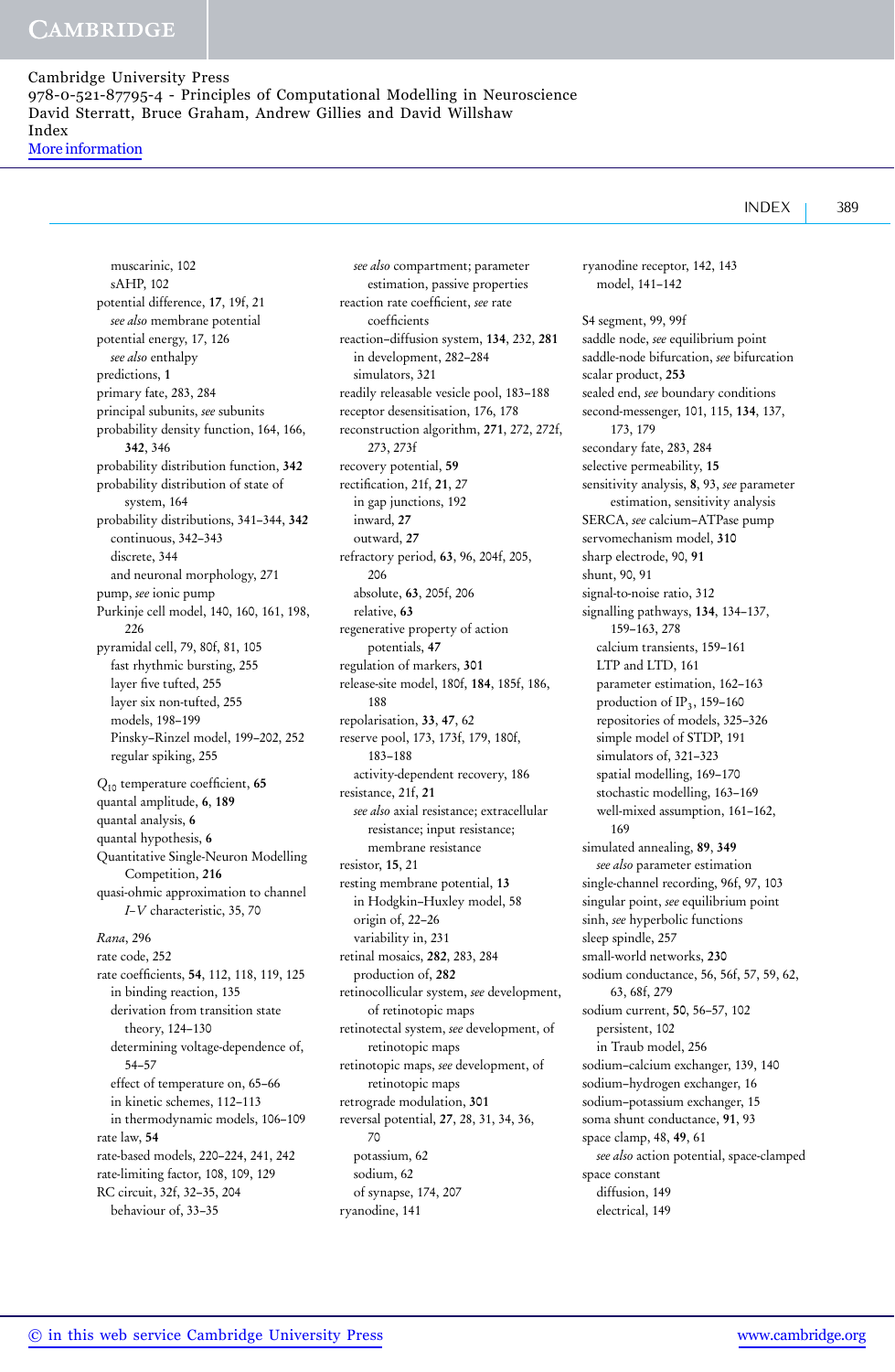muscarinic, 102 sAHP, 102 potential difference, 17, 19f, 21 *see also* membrane potential potential energy, 17, 126 *see also* enthalpy predictions, 1 primary fate, 283, 284 principal subunits, *see* subunits probability density function, 164, 166, 342, 346 probability distribution function, 342 probability distribution of state of system, 164 probability distributions, 341–344, 342 continuous, 342–343 discrete, 344 and neuronal morphology, 271 pump, *see* ionic pump Purkinje cell model, 140, 160, 161, 198,  $226$ pyramidal cell, 79, 80f, 81, 105 fast rhythmic bursting, 255 layer five tufted, 255 layer six non-tufted, 255 models, 198–199 Pinsky–Rinzel model, 199–202, 252 regular spiking, 255 *Q*<sup>10</sup> temperature coefficient, 65 quantal amplitude, 6, 189 quantal analysis, 6 quantal hypothesis, 6 Quantitative Single-Neuron Modelling Competition, 216 quasi-ohmic approximation to channel *I–V* characteristic, 35, 70 *Rana*, 296 rate code, 252 rate coefficients, 54, 112, 118, 119, 125 in binding reaction, 135 derivation from transition state theory, 124–130 determining voltage-dependence of, 54–57 effect of temperature on, 65–66 in kinetic schemes, 112–113 in thermodynamic models, 106–109 rate law, 54 rate-based models, 220–224, 241, 242 rate-limiting factor, 108, 109, 129 RC circuit, 32f, 32–35, 204 behaviour of, 33–35

*see also* compartment; parameter estimation, passive properties reaction rate coefficient, *see* rate coefficients reaction–diffusion system, 134, 232, 281 in development, 282–284 simulators, 321 readily releasable vesicle pool, 183–188 receptor desensitisation, 176, 178 reconstruction algorithm, 271, 272, 272f, 273, 273f recovery potential, 59 rectification, 21f, 21, 27 in gap junctions, 192 inward, 27 outward, 27 refractory period, 63, 96, 204f, 205, 206 absolute, 63, 205f, 206 relative, 63 regenerative property of action potentials, 47 regulation of markers, 301 release-site model, 180f, 184, 185f, 186, 188 repolarisation, 33, 47, 62 reserve pool, 173, 173f, 179, 180f, 183–188 activity-dependent recovery, 186 resistance, 21f, 21 *see also* axial resistance; extracellular resistance; input resistance; membrane resistance resistor, 15, 21 resting membrane potential, 13 in Hodgkin–Huxley model, 58 origin of, 22–26 variability in, 231 retinal mosaics, 282, 283, 284 production of, 282 retinocollicular system, *see* development, of retinotopic maps retinotectal system, *see* development, of retinotopic maps retinotopic maps, *see* development, of retinotopic maps retrograde modulation, 301 reversal potential, 27, 28, 31, 34, 36, 70 potassium, 62 sodium, 62 of synapse, 174, 207 ryanodine, 141

model, 141–142 S4 segment, 99, 99f saddle node, *see* equilibrium point saddle-node bifurcation, *see* bifurcation scalar product, 253 sealed end, *see* boundary conditions second-messenger, 101, 115, 134, 137, 173, 179 secondary fate, 283, 284 selective permeability, 15 sensitivity analysis, 8, 93, *see* parameter estimation, sensitivity analysis SERCA, *see* calcium–ATPase pump servomechanism model, 310 sharp electrode, 90, 91 shunt, 90, 91 signal-to-noise ratio, 312 signalling pathways, 134, 134–137, 159–163, 278 calcium transients, 159–161 LTP and LTD, 161 parameter estimation, 162–163 production of  $IP_3$ , 159-160 repositories of models, 325–326 simple model of STDP, 191 simulators of, 321–323 spatial modelling, 169–170 stochastic modelling, 163–169 well-mixed assumption, 161–162, 169 simulated annealing, 89, 349 *see also* parameter estimation single-channel recording, 96f, 97, 103 singular point, *see* equilibrium point sinh, *see* hyperbolic functions sleep spindle, 257 small-world networks, 230 sodium conductance, 56, 56f, 57, 59, 62, 63, 68f, 279 sodium current, 50, 56–57, 102 persistent, 102 in Traub model, 256 sodium–calcium exchanger, 139, 140 sodium–hydrogen exchanger, 16 sodium–potassium exchanger, 15 soma shunt conductance, 91, 93 space clamp, 48, 49, 61 *see also* action potential, space-clamped space constant diffusion, 149 electrical, 149

ryanodine receptor, 142, 143